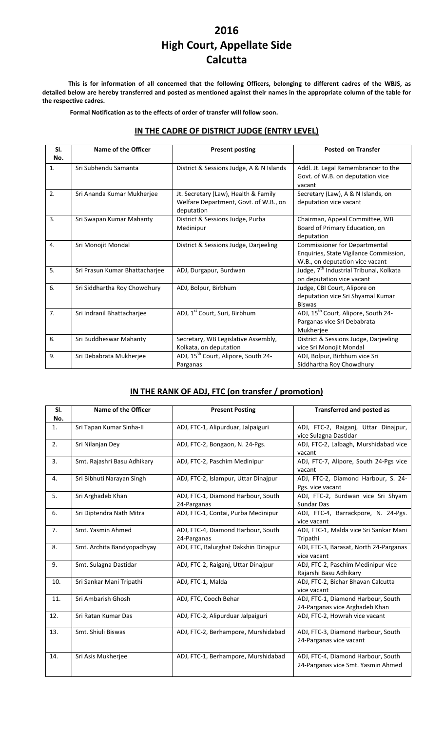# **2016 High Court, Appellate Side Calcutta**

This is for information of all concerned that the following Officers, belonging to different cadres of the WBJS, as detailed below are hereby transferred and posted as mentioned against their names in the appropriate column of the table for **the respective cadres.**

**Formal Notification as to the effects of order of transfer will follow soon.**

#### **IN THE CADRE OF DISTRICT JUDGE (ENTRY LEVEL)**

| SI.<br>No.       | Name of the Officer            | <b>Present posting</b>                                                                      | <b>Posted on Transfer</b>                                                                                         |
|------------------|--------------------------------|---------------------------------------------------------------------------------------------|-------------------------------------------------------------------------------------------------------------------|
| 1.               | Sri Subhendu Samanta           | District & Sessions Judge, A & N Islands                                                    | Addl. Jt. Legal Remembrancer to the<br>Govt. of W.B. on deputation vice<br>vacant                                 |
| 2.               | Sri Ananda Kumar Mukherjee     | Jt. Secretary (Law), Health & Family<br>Welfare Department, Govt. of W.B., on<br>deputation | Secretary (Law), A & N Islands, on<br>deputation vice vacant                                                      |
| 3.               | Sri Swapan Kumar Mahanty       | District & Sessions Judge, Purba<br>Medinipur                                               | Chairman, Appeal Committee, WB<br>Board of Primary Education, on<br>deputation                                    |
| $\overline{4}$ . | Sri Monojit Mondal             | District & Sessions Judge, Darjeeling                                                       | <b>Commissioner for Departmental</b><br>Enquiries, State Vigilance Commission,<br>W.B., on deputation vice vacant |
| 5.               | Sri Prasun Kumar Bhattacharjee | ADJ, Durgapur, Burdwan                                                                      | Judge, 7 <sup>th</sup> Industrial Tribunal, Kolkata<br>on deputation vice vacant                                  |
| 6.               | Sri Siddhartha Roy Chowdhury   | ADJ, Bolpur, Birbhum                                                                        | Judge, CBI Court, Alipore on<br>deputation vice Sri Shyamal Kumar<br><b>Biswas</b>                                |
| 7.               | Sri Indranil Bhattacharjee     | ADJ, 1 <sup>st</sup> Court, Suri, Birbhum                                                   | ADJ, 15 <sup>th</sup> Court, Alipore, South 24-<br>Parganas vice Sri Debabrata<br>Mukherjee                       |
| 8.               | Sri Buddheswar Mahanty         | Secretary, WB Legislative Assembly,<br>Kolkata, on deputation                               | District & Sessions Judge, Darjeeling<br>vice Sri Monojit Mondal                                                  |
| 9.               | Sri Debabrata Mukherjee        | ADJ, 15 <sup>th</sup> Court, Alipore, South 24-<br>Parganas                                 | ADJ, Bolpur, Birbhum vice Sri<br>Siddhartha Roy Chowdhury                                                         |

### **IN THE RANK OF ADJ, FTC (on transfer / promotion)**

| SI.<br>No.     | Name of the Officer         | <b>Present Posting</b>                            | <b>Transferred and posted as</b>                                         |
|----------------|-----------------------------|---------------------------------------------------|--------------------------------------------------------------------------|
| 1.             | Sri Tapan Kumar Sinha-II    | ADJ, FTC-1, Alipurduar, Jalpaiguri                | ADJ, FTC-2, Raiganj, Uttar Dinajpur,<br>vice Sulagna Dastidar            |
| 2.             | Sri Nilanjan Dey            | ADJ, FTC-2, Bongaon, N. 24-Pgs.                   | ADJ, FTC-2, Lalbagh, Murshidabad vice<br>vacant                          |
| 3.             | Smt. Rajashri Basu Adhikary | ADJ, FTC-2, Paschim Medinipur                     | ADJ, FTC-7, Alipore, South 24-Pgs vice<br>vacant                         |
| 4.             | Sri Bibhuti Narayan Singh   | ADJ, FTC-2, Islampur, Uttar Dinajpur              | ADJ, FTC-2, Diamond Harbour, S. 24-<br>Pgs. vice vacant                  |
| 5.             | Sri Arghadeb Khan           | ADJ, FTC-1, Diamond Harbour, South<br>24-Parganas | ADJ, FTC-2, Burdwan vice Sri Shyam<br>Sundar Das                         |
| 6.             | Sri Diptendra Nath Mitra    | ADJ, FTC-1, Contai, Purba Medinipur               | ADJ, FTC-4, Barrackpore, N. 24-Pgs.<br>vice vacant                       |
| 7 <sub>1</sub> | Smt. Yasmin Ahmed           | ADJ, FTC-4, Diamond Harbour, South<br>24-Parganas | ADJ, FTC-1, Malda vice Sri Sankar Mani<br>Tripathi                       |
| 8.             | Smt. Archita Bandyopadhyay  | ADJ, FTC, Balurghat Dakshin Dinajpur              | ADJ, FTC-3, Barasat, North 24-Parganas<br>vice vacant                    |
| 9.             | Smt. Sulagna Dastidar       | ADJ, FTC-2, Raiganj, Uttar Dinajpur               | ADJ, FTC-2, Paschim Medinipur vice<br>Rajarshi Basu Adhikary             |
| 10.            | Sri Sankar Mani Tripathi    | ADJ, FTC-1, Malda                                 | ADJ, FTC-2, Bichar Bhavan Calcutta<br>vice vacant                        |
| 11.            | Sri Ambarish Ghosh          | ADJ, FTC, Cooch Behar                             | ADJ, FTC-1, Diamond Harbour, South<br>24-Parganas vice Arghadeb Khan     |
| 12.            | Sri Ratan Kumar Das         | ADJ, FTC-2, Alipurduar Jalpaiguri                 | ADJ, FTC-2, Howrah vice vacant                                           |
| 13.            | Smt. Shiuli Biswas          | ADJ, FTC-2, Berhampore, Murshidabad               | ADJ, FTC-3, Diamond Harbour, South<br>24-Parganas vice vacant            |
| 14.            | Sri Asis Mukherjee          | ADJ, FTC-1, Berhampore, Murshidabad               | ADJ, FTC-4, Diamond Harbour, South<br>24-Parganas vice Smt. Yasmin Ahmed |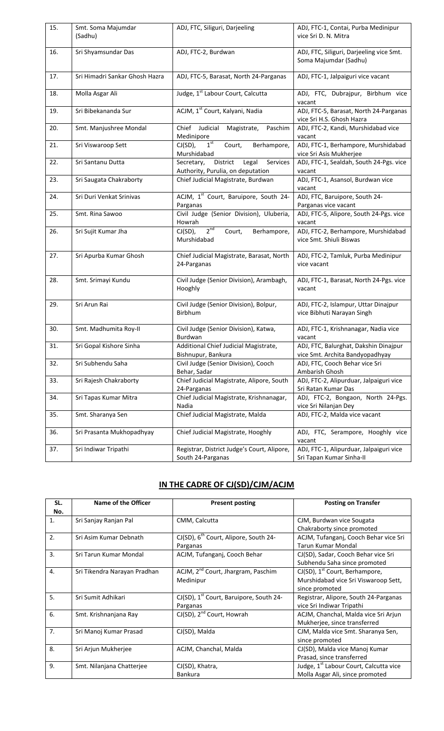| 15. | Smt. Soma Majumdar             | ADJ, FTC, Siliguri, Darjeeling                              | ADJ, FTC-1, Contai, Purba Medinipur               |
|-----|--------------------------------|-------------------------------------------------------------|---------------------------------------------------|
|     | (Sadhu)                        |                                                             | vice Sri D. N. Mitra                              |
|     |                                |                                                             |                                                   |
| 16. | Sri Shyamsundar Das            | ADJ, FTC-2, Burdwan                                         | ADJ, FTC, Siliguri, Darjeeling vice Smt.          |
|     |                                |                                                             | Soma Majumdar (Sadhu)                             |
| 17. | Sri Himadri Sankar Ghosh Hazra | ADJ, FTC-5, Barasat, North 24-Parganas                      | ADJ, FTC-1, Jalpaiguri vice vacant                |
|     |                                |                                                             |                                                   |
| 18. | Molla Asgar Ali                | Judge, 1 <sup>st</sup> Labour Court, Calcutta               | ADJ, FTC, Dubrajpur, Birbhum vice                 |
|     |                                |                                                             | vacant                                            |
| 19. | Sri Bibekananda Sur            | ACJM, 1 <sup>st</sup> Court, Kalyani, Nadia                 | ADJ, FTC-5, Barasat, North 24-Parganas            |
|     |                                |                                                             | vice Sri H.S. Ghosh Hazra                         |
| 20. | Smt. Manjushree Mondal         | Chief Judicial<br>Magistrate,<br>Paschim                    | ADJ, FTC-2, Kandi, Murshidabad vice               |
|     |                                | Medinipore                                                  | vacant                                            |
| 21. | Sri Viswaroop Sett             | $1^{\rm st}$<br>$CI(SD)$ ,<br>Court,<br>Berhampore,         | ADJ, FTC-1, Berhampore, Murshidabad               |
| 22. | Sri Santanu Dutta              | Murshidabad<br>Legal<br>District                            | vice Sri Asis Mukherjee                           |
|     |                                | Secretary,<br>Services<br>Authority, Purulia, on deputation | ADJ, FTC-1, Sealdah, South 24-Pgs. vice<br>vacant |
| 23. | Sri Saugata Chakraborty        | Chief Judicial Magistrate, Burdwan                          | ADJ, FTC-1, Asansol, Burdwan vice                 |
|     |                                |                                                             | vacant                                            |
| 24. | Sri Duri Venkat Srinivas       | ACJM, 1st Court, Baruipore, South 24-                       | ADJ, FTC, Baruipore, South 24-                    |
|     |                                | Parganas                                                    | Parganas vice vacant                              |
| 25. | Smt. Rina Sawoo                | Civil Judge (Senior Division), Uluberia,                    | ADJ, FTC-5, Alipore, South 24-Pgs. vice           |
|     |                                | Howrah                                                      | vacant                                            |
| 26. | Sri Sujit Kumar Jha            | 2 <sup>nd</sup><br>Court,<br>$CI(SD)$ ,<br>Berhampore,      | ADJ, FTC-2, Berhampore, Murshidabad               |
|     |                                | Murshidabad                                                 | vice Smt. Shiuli Biswas                           |
|     |                                |                                                             |                                                   |
| 27. | Sri Apurba Kumar Ghosh         | Chief Judicial Magistrate, Barasat, North                   | ADJ, FTC-2, Tamluk, Purba Medinipur               |
|     |                                | 24-Parganas                                                 | vice vacant                                       |
| 28. | Smt. Srimayi Kundu             | Civil Judge (Senior Division), Arambagh,                    | ADJ, FTC-1, Barasat, North 24-Pgs. vice           |
|     |                                | Hooghly                                                     | vacant                                            |
|     |                                |                                                             |                                                   |
| 29. | Sri Arun Rai                   | Civil Judge (Senior Division), Bolpur,                      | ADJ, FTC-2, Islampur, Uttar Dinajpur              |
|     |                                | Birbhum                                                     | vice Bibhuti Narayan Singh                        |
|     |                                |                                                             |                                                   |
| 30. | Smt. Madhumita Roy-II          | Civil Judge (Senior Division), Katwa,<br>Burdwan            | ADJ, FTC-1, Krishnanagar, Nadia vice<br>vacant    |
| 31. | Sri Gopal Kishore Sinha        | Additional Chief Judicial Magistrate,                       | ADJ, FTC, Balurghat, Dakshin Dinajpur             |
|     |                                | Bishnupur, Bankura                                          | vice Smt. Archita Bandyopadhyay                   |
| 32. | Sri Subhendu Saha              | Civil Judge (Senior Division), Cooch                        | ADJ, FTC, Cooch Behar vice Sri                    |
|     |                                | Behar, Sadar                                                | Ambarish Ghosh                                    |
| 33. | Sri Rajesh Chakraborty         | Chief Judicial Magistrate, Alipore, South                   | ADJ, FTC-2, Alipurduar, Jalpaiguri vice           |
|     |                                | 24-Parganas                                                 | Sri Ratan Kumar Das                               |
| 34. | Sri Tapas Kumar Mitra          | Chief Judicial Magistrate, Krishnanagar,                    | ADJ, FTC-2, Bongaon, North 24-Pgs.                |
|     |                                | Nadia                                                       | vice Sri Nilanjan Dey                             |
| 35. | Smt. Sharanya Sen              | Chief Judicial Magistrate, Malda                            | ADJ, FTC-2, Malda vice vacant                     |
|     |                                |                                                             |                                                   |
| 36. | Sri Prasanta Mukhopadhyay      | Chief Judicial Magistrate, Hooghly                          | ADJ, FTC, Serampore, Hooghly vice                 |
|     |                                |                                                             | vacant                                            |
| 37. | Sri Indiwar Tripathi           | Registrar, District Judge's Court, Alipore,                 | ADJ, FTC-1, Alipurduar, Jalpaiguri vice           |
|     |                                | South 24-Parganas                                           | Sri Tapan Kumar Sinha-II                          |

## **IN THE CADRE OF CJ(SD)/CJM/ACJM**

| SL.            | Name of the Officer          | <b>Present posting</b>                                 | <b>Posting on Transfer</b>                         |
|----------------|------------------------------|--------------------------------------------------------|----------------------------------------------------|
| No.            |                              |                                                        |                                                    |
| 1.             | Sri Sanjay Ranjan Pal        | CMM, Calcutta                                          | CJM, Burdwan vice Sougata                          |
|                |                              |                                                        | Chakraborty since promoted                         |
| 2.             | Sri Asim Kumar Debnath       | $CI(SD)$ , $6th$ Court, Alipore, South 24-             | ACJM, Tufanganj, Cooch Behar vice Sri              |
|                |                              | Parganas                                               | <b>Tarun Kumar Mondal</b>                          |
| 3.             | Sri Tarun Kumar Mondal       | ACJM, Tufanganj, Cooch Behar                           | CJ(SD), Sadar, Cooch Behar vice Sri                |
|                |                              |                                                        | Subhendu Saha since promoted                       |
| 4.             | Sri Tikendra Narayan Pradhan | ACJM, 2 <sup>nd</sup> Court, Jhargram, Paschim         | $CJ(SD)$ , 1 <sup>st</sup> Court, Berhampore,      |
|                |                              | Medinipur                                              | Murshidabad vice Sri Viswaroop Sett,               |
|                |                              |                                                        | since promoted                                     |
| 5.             | Sri Sumit Adhikari           | $CI(SD)$ , 1 <sup>st</sup> Court, Baruipore, South 24- | Registrar, Alipore, South 24-Parganas              |
|                |                              | Parganas                                               | vice Sri Indiwar Tripathi                          |
| 6.             | Smt. Krishnanjana Ray        | CJ(SD), 2 <sup>nd</sup> Court, Howrah                  | ACJM, Chanchal, Malda vice Sri Arjun               |
|                |                              |                                                        | Mukherjee, since transferred                       |
| 7 <sub>1</sub> | Sri Manoj Kumar Prasad       | CJ(SD), Malda                                          | CJM, Malda vice Smt. Sharanya Sen,                 |
|                |                              |                                                        | since promoted                                     |
| 8.             | Sri Arjun Mukherjee          | ACJM, Chanchal, Malda                                  | CJ(SD), Malda vice Manoj Kumar                     |
|                |                              |                                                        | Prasad, since transferred                          |
| 9.             | Smt. Nilanjana Chatterjee    | CJ(SD), Khatra,                                        | Judge, 1 <sup>st</sup> Labour Court, Calcutta vice |
|                |                              | <b>Bankura</b>                                         | Molla Asgar Ali, since promoted                    |